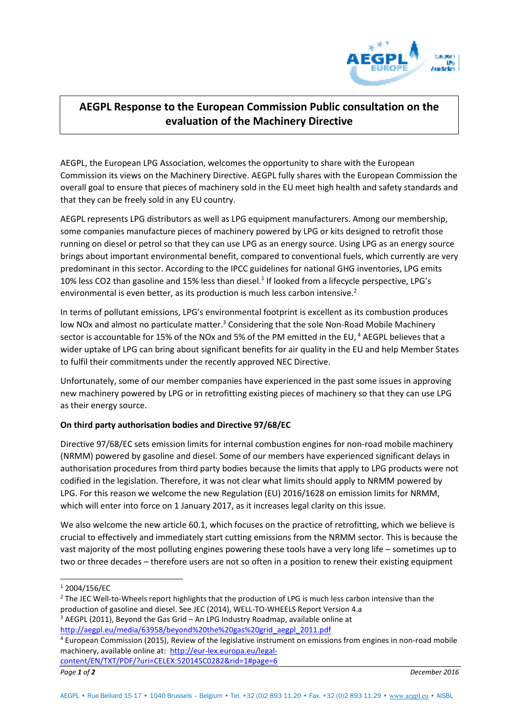

## **AEGPL Response to the European Commission Public consultation on the evaluation of the Machinery Directive**

AEGPL, the European LPG Association, welcomes the opportunity to share with the European Commission its views on the Machinery Directive. AEGPL fully shares with the European Commission the overall goal to ensure that pieces of machinery sold in the EU meet high health and safety standards and that they can be freely sold in any EU country.

AEGPL represents LPG distributors as well as LPG equipment manufacturers. Among our membership, some companies manufacture pieces of machinery powered by LPG or kits designed to retrofit those running on diesel or petrol so that they can use LPG as an energy source. Using LPG as an energy source brings about important environmental benefit, compared to conventional fuels, which currently are very predominant in this sector. According to the IPCC guidelines for national GHG inventories, LPG emits 10% less CO2 than gasoline and 15% less than diesel.<sup>1</sup> If looked from a lifecycle perspective, LPG's environmental is even better, as its production is much less carbon intensive.<sup>2</sup>

In terms of pollutant emissions, LPG's environmental footprint is excellent as its combustion produces low NOx and almost no particulate matter.<sup>3</sup> Considering that the sole Non-Road Mobile Machinery sector is accountable for 15% of the NOx and 5% of the PM emitted in the EU,<sup>4</sup> AEGPL believes that a wider uptake of LPG can bring about significant benefits for air quality in the EU and help Member States to fulfil their commitments under the recently approved NEC Directive.

Unfortunately, some of our member companies have experienced in the past some issues in approving new machinery powered by LPG or in retrofitting existing pieces of machinery so that they can use LPG as their energy source.

## **On third party authorisation bodies and Directive 97/68/EC**

Directive 97/68/EC sets emission limits for internal combustion engines for non-road mobile machinery (NRMM) powered by gasoline and diesel. Some of our members have experienced significant delays in authorisation procedures from third party bodies because the limits that apply to LPG products were not codified in the legislation. Therefore, it was not clear what limits should apply to NRMM powered by LPG. For this reason we welcome the new Regulation (EU) 2016/1628 on emission limits for NRMM, which will enter into force on 1 January 2017, as it increases legal clarity on this issue.

We also welcome the new article 60.1, which focuses on the practice of retrofitting, which we believe is crucial to effectively and immediately start cutting emissions from the NRMM sector. This is because the vast majority of the most polluting engines powering these tools have a very long life – sometimes up to two or three decades – therefore users are not so often in a position to renew their existing equipment

 $\overline{a}$ 

- <sup>2</sup> The JEC Well-to-Wheels report highlights that the production of LPG is much less carbon intensive than the production of gasoline and diesel. See JEC (2014), WELL-TO-WHEELS Report Version 4.a
- $3$  AEGPL (2011), Beyond the Gas Grid An LPG Industry Roadmap, available online at [http://aegpl.eu/media/63958/beyond%20the%20gas%20grid\\_aegpl\\_2011.pdf](http://aegpl.eu/media/63958/beyond%20the%20gas%20grid_aegpl_2011.pdf)
- <sup>4</sup> European Commission (2015), Review of the legislative instrument on emissions from engines in non-road mobile machinery, available online at: [http://eur-lex.europa.eu/legal-](http://eur-lex.europa.eu/legal-content/EN/TXT/PDF/?uri=CELEX:52014SC0282&rid=1#page=6)
- [content/EN/TXT/PDF/?uri=CELEX:52014SC0282&rid=1#page=6](http://eur-lex.europa.eu/legal-content/EN/TXT/PDF/?uri=CELEX:52014SC0282&rid=1#page=6)

*Page 1 of 2 December 2016*

<sup>1</sup> 2004/156/EC